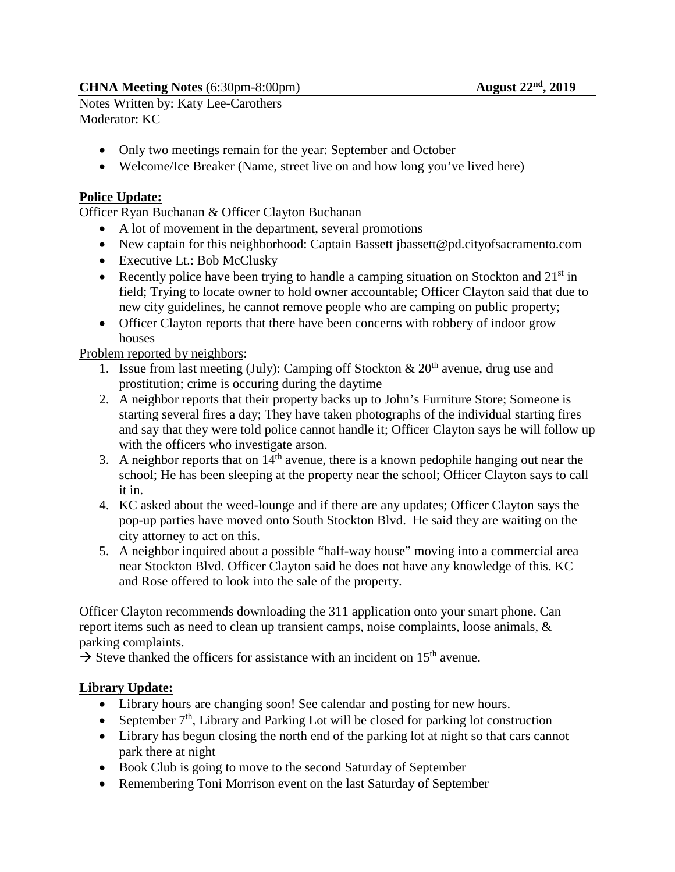Notes Written by: Katy Lee-Carothers Moderator: KC

- Only two meetings remain for the year: September and October
- Welcome/Ice Breaker (Name, street live on and how long you've lived here)

#### **Police Update:**

Officer Ryan Buchanan & Officer Clayton Buchanan

- A lot of movement in the department, several promotions
- New captain for this neighborhood: Captain Bassett ibassett@pd.cityofsacramento.com
- Executive Lt.: Bob McClusky
- Recently police have been trying to handle a camping situation on Stockton and  $21<sup>st</sup>$  in field; Trying to locate owner to hold owner accountable; Officer Clayton said that due to new city guidelines, he cannot remove people who are camping on public property;
- Officer Clayton reports that there have been concerns with robbery of indoor grow houses

#### Problem reported by neighbors:

- 1. Issue from last meeting (July): Camping off Stockton  $\&$  20<sup>th</sup> avenue, drug use and prostitution; crime is occuring during the daytime
- 2. A neighbor reports that their property backs up to John's Furniture Store; Someone is starting several fires a day; They have taken photographs of the individual starting fires and say that they were told police cannot handle it; Officer Clayton says he will follow up with the officers who investigate arson.
- 3. A neighbor reports that on  $14<sup>th</sup>$  avenue, there is a known pedophile hanging out near the school; He has been sleeping at the property near the school; Officer Clayton says to call it in.
- 4. KC asked about the weed-lounge and if there are any updates; Officer Clayton says the pop-up parties have moved onto South Stockton Blvd. He said they are waiting on the city attorney to act on this.
- 5. A neighbor inquired about a possible "half-way house" moving into a commercial area near Stockton Blvd. Officer Clayton said he does not have any knowledge of this. KC and Rose offered to look into the sale of the property.

Officer Clayton recommends downloading the 311 application onto your smart phone. Can report items such as need to clean up transient camps, noise complaints, loose animals, & parking complaints.

 $\rightarrow$  Steve thanked the officers for assistance with an incident on 15<sup>th</sup> avenue.

## **Library Update:**

- Library hours are changing soon! See calendar and posting for new hours.
- September  $7<sup>th</sup>$ , Library and Parking Lot will be closed for parking lot construction
- Library has begun closing the north end of the parking lot at night so that cars cannot park there at night
- Book Club is going to move to the second Saturday of September
- Remembering Toni Morrison event on the last Saturday of September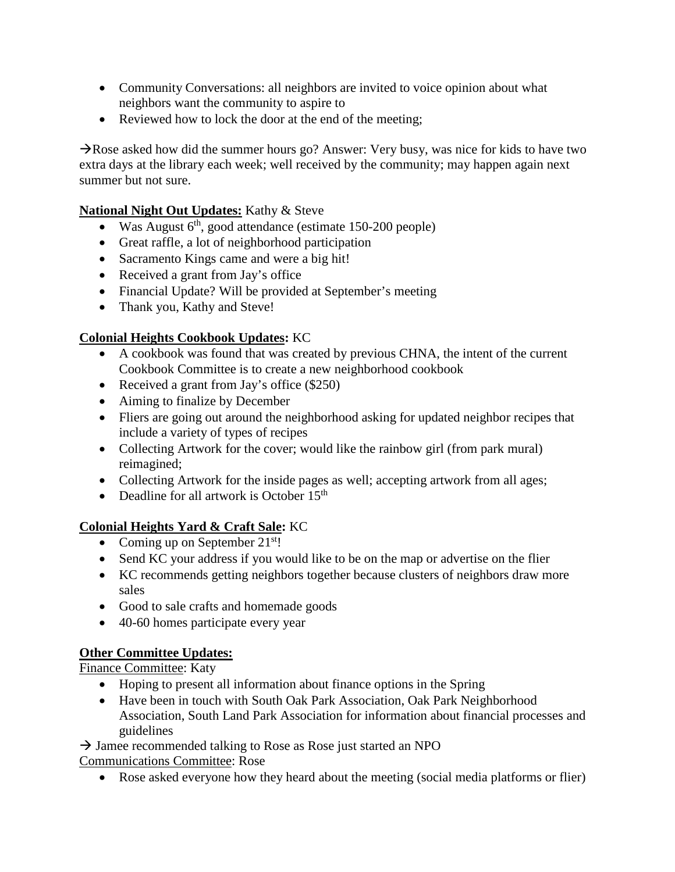- Community Conversations: all neighbors are invited to voice opinion about what neighbors want the community to aspire to
- Reviewed how to lock the door at the end of the meeting;

 $\rightarrow$ Rose asked how did the summer hours go? Answer: Very busy, was nice for kids to have two extra days at the library each week; well received by the community; may happen again next summer but not sure.

#### **National Night Out Updates:** Kathy & Steve

- Was August  $6<sup>th</sup>$ , good attendance (estimate 150-200 people)
- Great raffle, a lot of neighborhood participation
- Sacramento Kings came and were a big hit!
- Received a grant from Jay's office
- Financial Update? Will be provided at September's meeting
- Thank you, Kathy and Steve!

## **Colonial Heights Cookbook Updates:** KC

- A cookbook was found that was created by previous CHNA, the intent of the current Cookbook Committee is to create a new neighborhood cookbook
- Received a grant from Jay's office (\$250)
- Aiming to finalize by December
- Fliers are going out around the neighborhood asking for updated neighbor recipes that include a variety of types of recipes
- Collecting Artwork for the cover; would like the rainbow girl (from park mural) reimagined;
- Collecting Artwork for the inside pages as well; accepting artwork from all ages;
- Deadline for all artwork is October  $15<sup>th</sup>$

# **Colonial Heights Yard & Craft Sale:** KC

- Coming up on September  $21^{st}$ !
- Send KC your address if you would like to be on the map or advertise on the flier
- KC recommends getting neighbors together because clusters of neighbors draw more sales
- Good to sale crafts and homemade goods
- 40-60 homes participate every year

## **Other Committee Updates:**

Finance Committee: Katy

- Hoping to present all information about finance options in the Spring
- Have been in touch with South Oak Park Association, Oak Park Neighborhood Association, South Land Park Association for information about financial processes and guidelines

 $\rightarrow$  Jamee recommended talking to Rose as Rose just started an NPO

Communications Committee: Rose

• Rose asked everyone how they heard about the meeting (social media platforms or flier)